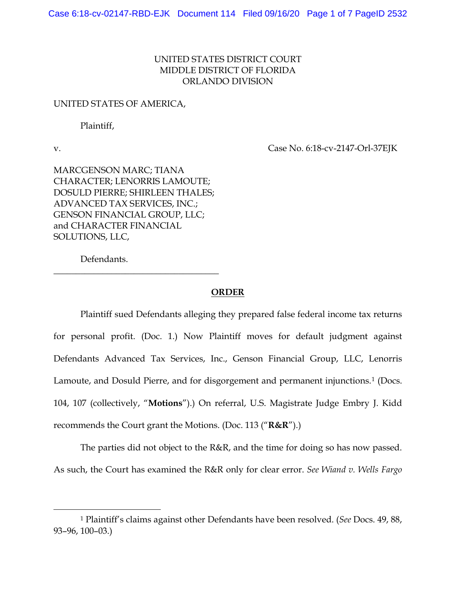## UNITED STATES DISTRICT COURT MIDDLE DISTRICT OF FLORIDA ORLANDO DIVISION

## UNITED STATES OF AMERICA,

Plaintiff,

v. Case No. 6:18-cv-2147-Orl-37EJK

MARCGENSON MARC; TIANA CHARACTER; LENORRIS LAMOUTE; DOSULD PIERRE; SHIRLEEN THALES; ADVANCED TAX SERVICES, INC.; GENSON FINANCIAL GROUP, LLC; and CHARACTER FINANCIAL SOLUTIONS, LLC,

\_\_\_\_\_\_\_\_\_\_\_\_\_\_\_\_\_\_\_\_\_\_\_\_\_\_\_\_\_\_\_\_\_\_\_\_\_

Defendants.

## **ORDER**

Plaintiff sued Defendants alleging they prepared false federal income tax returns for personal profit. (Doc. 1.) Now Plaintiff moves for default judgment against Defendants Advanced Tax Services, Inc., Genson Financial Group, LLC, Lenorris Lamoute, and Dosuld Pierre, and for disgorgement and permanent injunctions.<sup>1</sup> (Docs. 104, 107 (collectively, "**Motions**").) On referral, U.S. Magistrate Judge Embry J. Kidd recommends the Court grant the Motions. (Doc. 113 ("**R&R**").)

The parties did not object to the R&R, and the time for doing so has now passed. As such, the Court has examined the R&R only for clear error. *See Wiand v. Wells Fargo* 

<sup>1</sup> Plaintiff's claims against other Defendants have been resolved. (*See* Docs. 49, 88, 93–96, 100–03.)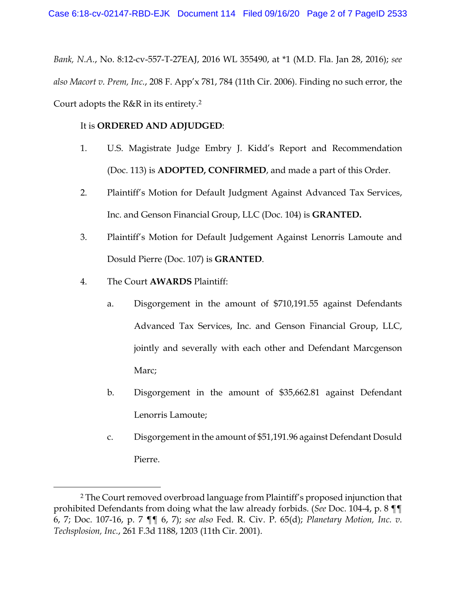*Bank, N.A.*, No. 8:12-cv-557-T-27EAJ, 2016 WL 355490, at \*1 (M.D. Fla. Jan 28, 2016); *see also Macort v. Prem, Inc.*, 208 F. App'x 781, 784 (11th Cir. 2006). Finding no such error, the Court adopts the R&R in its entirety.2

## It is **ORDERED AND ADJUDGED**:

- 1. U.S. Magistrate Judge Embry J. Kidd's Report and Recommendation (Doc. 113) is **ADOPTED, CONFIRMED**, and made a part of this Order.
- 2. Plaintiff's Motion for Default Judgment Against Advanced Tax Services, Inc. and Genson Financial Group, LLC (Doc. 104) is **GRANTED.**
- 3. Plaintiff's Motion for Default Judgement Against Lenorris Lamoute and Dosuld Pierre (Doc. 107) is **GRANTED**.
- 4. The Court **AWARDS** Plaintiff:
	- a. Disgorgement in the amount of \$710,191.55 against Defendants Advanced Tax Services, Inc. and Genson Financial Group, LLC, jointly and severally with each other and Defendant Marcgenson Marc;
	- b. Disgorgement in the amount of \$35,662.81 against Defendant Lenorris Lamoute;
	- c. Disgorgement in the amount of \$51,191.96 against Defendant Dosuld Pierre.

<sup>2</sup> The Court removed overbroad language from Plaintiff's proposed injunction that prohibited Defendants from doing what the law already forbids. (*See* Doc. 104-4, p. 8 ¶¶ 6, 7; Doc. 107-16, p. 7 ¶¶ 6, 7); *see also* Fed. R. Civ. P. 65(d); *Planetary Motion, Inc. v. Techsplosion, Inc.*, 261 F.3d 1188, 1203 (11th Cir. 2001).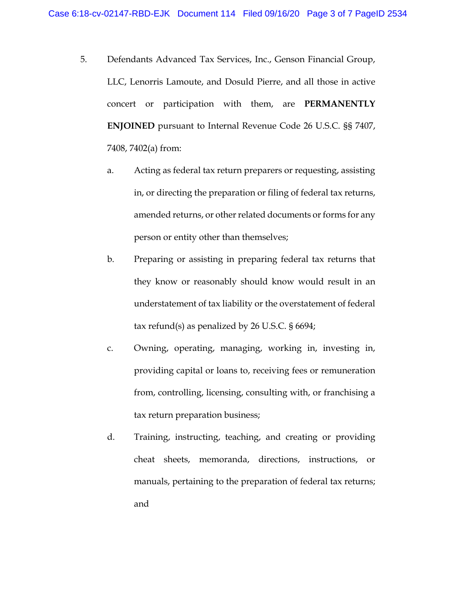- 5. Defendants Advanced Tax Services, Inc., Genson Financial Group, LLC, Lenorris Lamoute, and Dosuld Pierre, and all those in active concert or participation with them, are **PERMANENTLY ENJOINED** pursuant to Internal Revenue Code 26 U.S.C. §§ 7407, 7408, 7402(a) from:
	- a. Acting as federal tax return preparers or requesting, assisting in, or directing the preparation or filing of federal tax returns, amended returns, or other related documents or forms for any person or entity other than themselves;
	- b. Preparing or assisting in preparing federal tax returns that they know or reasonably should know would result in an understatement of tax liability or the overstatement of federal tax refund(s) as penalized by 26 U.S.C. § 6694;
	- c. Owning, operating, managing, working in, investing in, providing capital or loans to, receiving fees or remuneration from, controlling, licensing, consulting with, or franchising a tax return preparation business;
	- d. Training, instructing, teaching, and creating or providing cheat sheets, memoranda, directions, instructions, or manuals, pertaining to the preparation of federal tax returns; and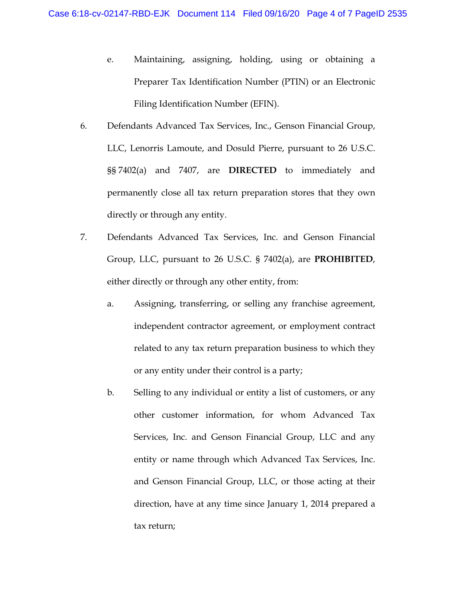- e. Maintaining, assigning, holding, using or obtaining a Preparer Tax Identification Number (PTIN) or an Electronic Filing Identification Number (EFIN).
- 6. Defendants Advanced Tax Services, Inc., Genson Financial Group, LLC, Lenorris Lamoute, and Dosuld Pierre, pursuant to 26 U.S.C. §§ 7402(a) and 7407, are **DIRECTED** to immediately and permanently close all tax return preparation stores that they own directly or through any entity.
- 7. Defendants Advanced Tax Services, Inc. and Genson Financial Group, LLC, pursuant to 26 U.S.C. § 7402(a), are **PROHIBITED**, either directly or through any other entity, from:
	- a. Assigning, transferring, or selling any franchise agreement, independent contractor agreement, or employment contract related to any tax return preparation business to which they or any entity under their control is a party;
	- b. Selling to any individual or entity a list of customers, or any other customer information, for whom Advanced Tax Services, Inc. and Genson Financial Group, LLC and any entity or name through which Advanced Tax Services, Inc. and Genson Financial Group, LLC, or those acting at their direction, have at any time since January 1, 2014 prepared a tax return;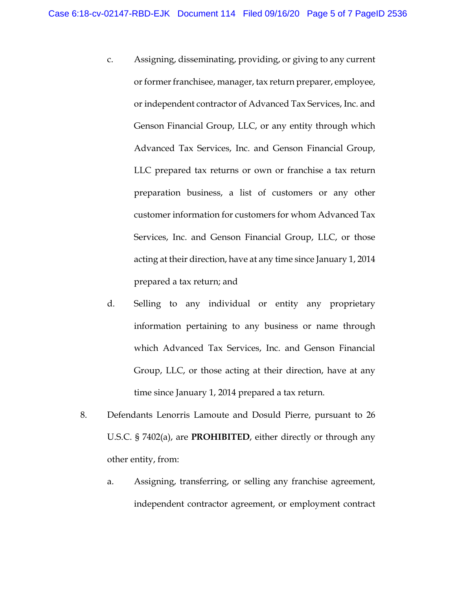- c. Assigning, disseminating, providing, or giving to any current or former franchisee, manager, tax return preparer, employee, or independent contractor of Advanced Tax Services, Inc. and Genson Financial Group, LLC, or any entity through which Advanced Tax Services, Inc. and Genson Financial Group, LLC prepared tax returns or own or franchise a tax return preparation business, a list of customers or any other customer information for customers for whom Advanced Tax Services, Inc. and Genson Financial Group, LLC, or those acting at their direction, have at any time since January 1, 2014 prepared a tax return; and
- d. Selling to any individual or entity any proprietary information pertaining to any business or name through which Advanced Tax Services, Inc. and Genson Financial Group, LLC, or those acting at their direction, have at any time since January 1, 2014 prepared a tax return.
- 8. Defendants Lenorris Lamoute and Dosuld Pierre, pursuant to 26 U.S.C. § 7402(a), are **PROHIBITED**, either directly or through any other entity, from:
	- a. Assigning, transferring, or selling any franchise agreement, independent contractor agreement, or employment contract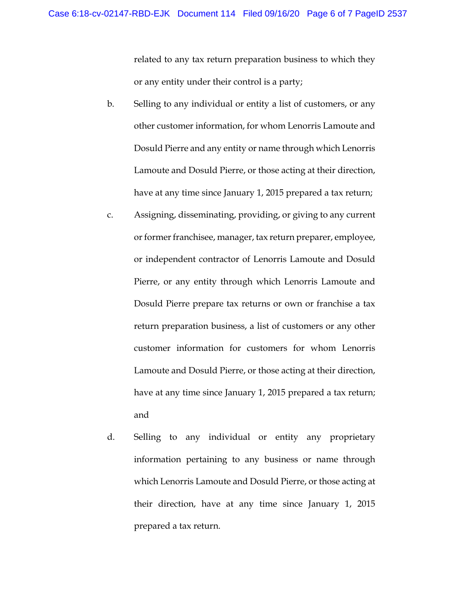related to any tax return preparation business to which they or any entity under their control is a party;

- b. Selling to any individual or entity a list of customers, or any other customer information, for whom Lenorris Lamoute and Dosuld Pierre and any entity or name through which Lenorris Lamoute and Dosuld Pierre, or those acting at their direction, have at any time since January 1, 2015 prepared a tax return;
- c. Assigning, disseminating, providing, or giving to any current or former franchisee, manager, tax return preparer, employee, or independent contractor of Lenorris Lamoute and Dosuld Pierre, or any entity through which Lenorris Lamoute and Dosuld Pierre prepare tax returns or own or franchise a tax return preparation business, a list of customers or any other customer information for customers for whom Lenorris Lamoute and Dosuld Pierre, or those acting at their direction, have at any time since January 1, 2015 prepared a tax return; and
- d. Selling to any individual or entity any proprietary information pertaining to any business or name through which Lenorris Lamoute and Dosuld Pierre, or those acting at their direction, have at any time since January 1, 2015 prepared a tax return.